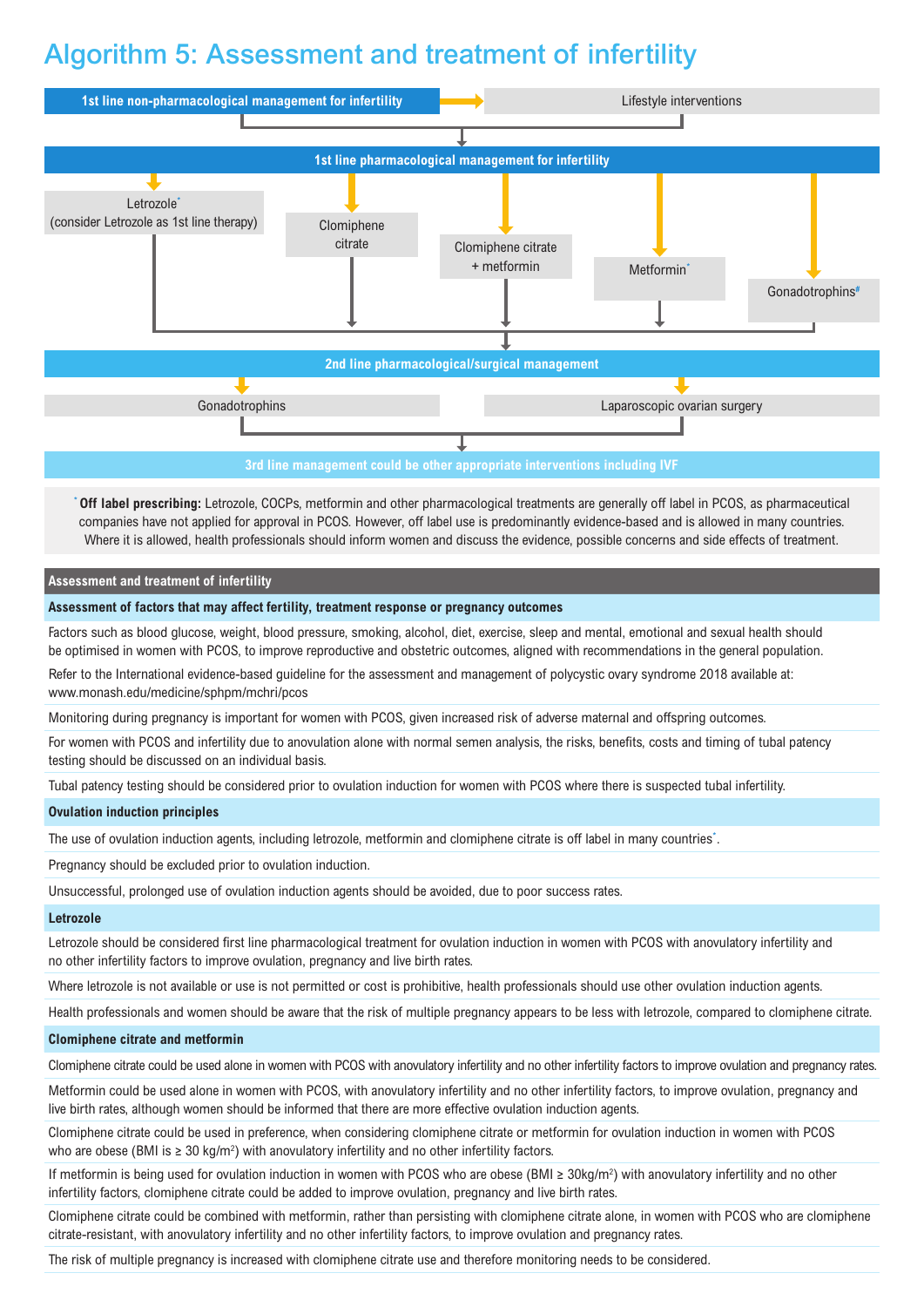# Algorithm 5: Assessment and treatment of infertility



**\* Off label prescribing:** Letrozole, COCPs, metformin and other pharmacological treatments are generally off label in PCOS, as pharmaceutical companies have not applied for approval in PCOS. However, off label use is predominantly evidence-based and is allowed in many countries. Where it is allowed, health professionals should inform women and discuss the evidence, possible concerns and side effects of treatment.

#### **Assessment and treatment of infertility**

### **Assessment of factors that may affect fertility, treatment response or pregnancy outcomes**

Factors such as blood glucose, weight, blood pressure, smoking, alcohol, diet, exercise, sleep and mental, emotional and sexual health should be optimised in women with PCOS, to improve reproductive and obstetric outcomes, aligned with recommendations in the general population. Refer to the International evidence-based guideline for the assessment and management of polycystic ovary syndrome 2018 available at: www.monash.edu/medicine/sphpm/mchri/pcos

Monitoring during pregnancy is important for women with PCOS, given increased risk of adverse maternal and offspring outcomes.

For women with PCOS and infertility due to anovulation alone with normal semen analysis, the risks, benefits, costs and timing of tubal patency testing should be discussed on an individual basis.

Tubal patency testing should be considered prior to ovulation induction for women with PCOS where there is suspected tubal infertility.

#### **Ovulation induction principles**

The use of ovulation induction agents, including letrozole, metformin and clomiphene citrate is off label in many countries**\*** .

Pregnancy should be excluded prior to ovulation induction.

Unsuccessful, prolonged use of ovulation induction agents should be avoided, due to poor success rates.

#### **Letrozole**

Letrozole should be considered first line pharmacological treatment for ovulation induction in women with PCOS with anovulatory infertility and no other infertility factors to improve ovulation, pregnancy and live birth rates.

Where letrozole is not available or use is not permitted or cost is prohibitive, health professionals should use other ovulation induction agents.

Health professionals and women should be aware that the risk of multiple pregnancy appears to be less with letrozole, compared to clomiphene citrate.

#### **Clomiphene citrate and metformin**

Clomiphene citrate could be used alone in women with PCOS with anovulatory infertility and no other infertility factors to improve ovulation and pregnancy rates.

Metformin could be used alone in women with PCOS, with anovulatory infertility and no other infertility factors, to improve ovulation, pregnancy and live birth rates, although women should be informed that there are more effective ovulation induction agents.

Clomiphene citrate could be used in preference, when considering clomiphene citrate or metformin for ovulation induction in women with PCOS who are obese (BMI is  $\geq 30$  kg/m<sup>2</sup>) with anovulatory infertility and no other infertility factors.

If metformin is being used for ovulation induction in women with PCOS who are obese (BMI ≥ 30kg/m<sup>2</sup>) with anovulatory infertility and no other infertility factors, clomiphene citrate could be added to improve ovulation, pregnancy and live birth rates.

Clomiphene citrate could be combined with metformin, rather than persisting with clomiphene citrate alone, in women with PCOS who are clomiphene citrate-resistant, with anovulatory infertility and no other infertility factors, to improve ovulation and pregnancy rates.

The risk of multiple pregnancy is increased with clomiphene citrate use and therefore monitoring needs to be considered.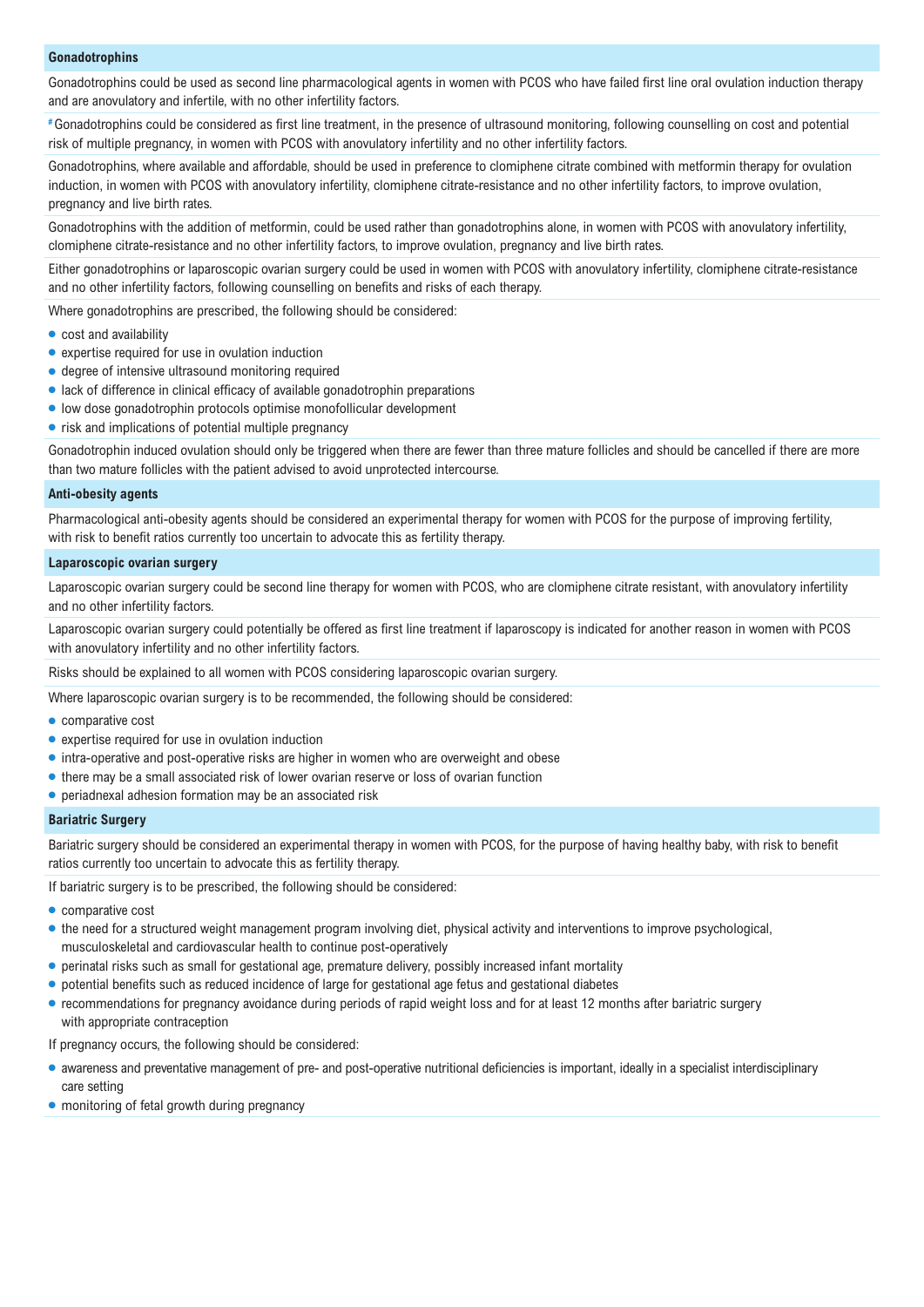#### **Gonadotrophins**

Gonadotrophins could be used as second line pharmacological agents in women with PCOS who have failed first line oral ovulation induction therapy and are anovulatory and infertile, with no other infertility factors.

**#** Gonadotrophins could be considered as first line treatment, in the presence of ultrasound monitoring, following counselling on cost and potential risk of multiple pregnancy, in women with PCOS with anovulatory infertility and no other infertility factors.

Gonadotrophins, where available and affordable, should be used in preference to clomiphene citrate combined with metformin therapy for ovulation induction, in women with PCOS with anovulatory infertility, clomiphene citrate-resistance and no other infertility factors, to improve ovulation, pregnancy and live birth rates.

Gonadotrophins with the addition of metformin, could be used rather than gonadotrophins alone, in women with PCOS with anovulatory infertility, clomiphene citrate-resistance and no other infertility factors, to improve ovulation, pregnancy and live birth rates.

Either gonadotrophins or laparoscopic ovarian surgery could be used in women with PCOS with anovulatory infertility, clomiphene citrate-resistance and no other infertility factors, following counselling on benefits and risks of each therapy.

Where gonadotrophins are prescribed, the following should be considered:

- cost and availability
- expertise required for use in ovulation induction
- degree of intensive ultrasound monitoring required
- lack of difference in clinical efficacy of available gonadotrophin preparations
- low dose gonadotrophin protocols optimise monofollicular development
- risk and implications of potential multiple pregnancy

Gonadotrophin induced ovulation should only be triggered when there are fewer than three mature follicles and should be cancelled if there are more than two mature follicles with the patient advised to avoid unprotected intercourse.

#### **Anti-obesity agents**

Pharmacological anti-obesity agents should be considered an experimental therapy for women with PCOS for the purpose of improving fertility, with risk to benefit ratios currently too uncertain to advocate this as fertility therapy.

#### **Laparoscopic ovarian surgery**

Laparoscopic ovarian surgery could be second line therapy for women with PCOS, who are clomiphene citrate resistant, with anovulatory infertility and no other infertility factors.

Laparoscopic ovarian surgery could potentially be offered as first line treatment if laparoscopy is indicated for another reason in women with PCOS with anovulatory infertility and no other infertility factors.

Risks should be explained to all women with PCOS considering laparoscopic ovarian surgery.

Where laparoscopic ovarian surgery is to be recommended, the following should be considered:

- comparative cost
- expertise required for use in ovulation induction
- intra-operative and post-operative risks are higher in women who are overweight and obese
- there may be a small associated risk of lower ovarian reserve or loss of ovarian function
- periadnexal adhesion formation may be an associated risk

## **Bariatric Surgery**

Bariatric surgery should be considered an experimental therapy in women with PCOS, for the purpose of having healthy baby, with risk to benefit ratios currently too uncertain to advocate this as fertility therapy.

If bariatric surgery is to be prescribed, the following should be considered:

- comparative cost
- the need for a structured weight management program involving diet, physical activity and interventions to improve psychological, musculoskeletal and cardiovascular health to continue post-operatively
- perinatal risks such as small for gestational age, premature delivery, possibly increased infant mortality
- potential benefits such as reduced incidence of large for gestational age fetus and gestational diabetes
- recommendations for pregnancy avoidance during periods of rapid weight loss and for at least 12 months after bariatric surgery with appropriate contraception

If pregnancy occurs, the following should be considered:

- awareness and preventative management of pre- and post-operative nutritional deficiencies is important, ideally in a specialist interdisciplinary care setting
- monitoring of fetal growth during pregnancy